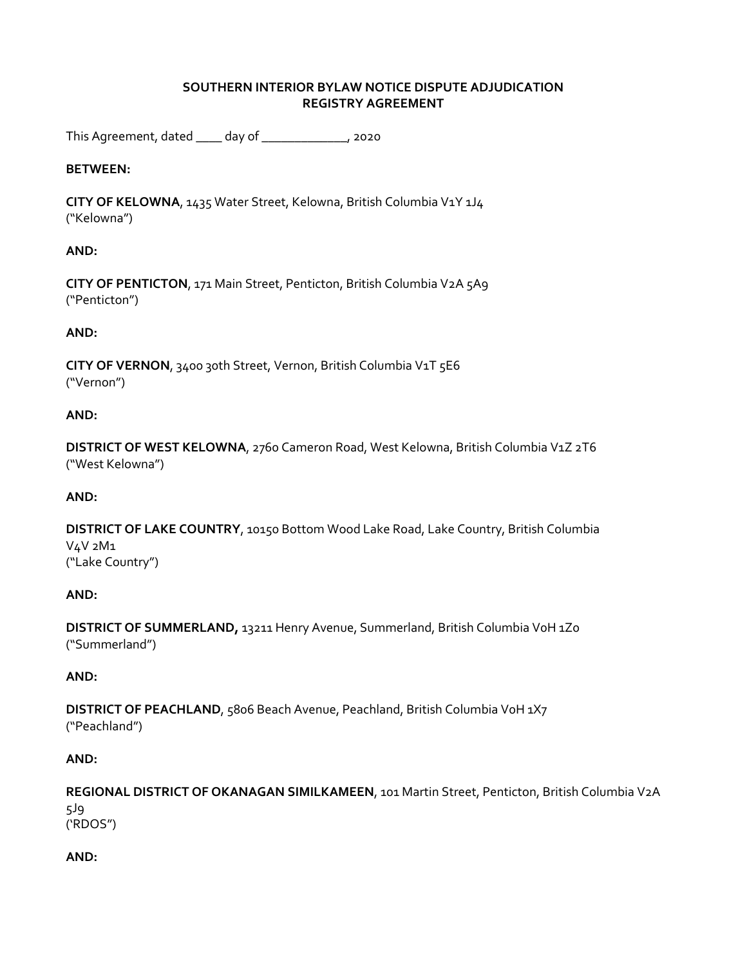## **SOUTHERN INTERIOR BYLAW NOTICE DISPUTE ADJUDICATION REGISTRY AGREEMENT**

This Agreement, dated \_\_\_\_ day of \_\_\_\_\_\_\_\_\_\_\_\_\_, 2020

## **BETWEEN:**

**CITY OF KELOWNA**, 1435 Water Street, Kelowna, British Columbia V1Y 1J4 ("Kelowna")

## **AND:**

**CITY OF PENTICTON**, 171 Main Street, Penticton, British Columbia V2A 5A9 ("Penticton")

### **AND:**

**CITY OF VERNON**, 3400 30th Street, Vernon, British Columbia V1T 5E6 ("Vernon")

#### **AND:**

**DISTRICT OF WEST KELOWNA**, 2760 Cameron Road, West Kelowna, British Columbia V1Z 2T6 ("West Kelowna")

#### **AND:**

**DISTRICT OF LAKE COUNTRY**, 10150 Bottom Wood Lake Road, Lake Country, British Columbia V4V 2M1 ("Lake Country")

#### **AND:**

**DISTRICT OF SUMMERLAND,** 13211 Henry Avenue, Summerland, British Columbia V0H 1Z0 ("Summerland")

## **AND:**

**DISTRICT OF PEACHLAND**, 5806 Beach Avenue, Peachland, British Columbia VoH 1X7 ("Peachland")

#### **AND:**

**REGIONAL DISTRICT OF OKANAGAN SIMILKAMEEN**, 101 Martin Street, Penticton, British Columbia V2A 5J9 ('RDOS")

## **AND:**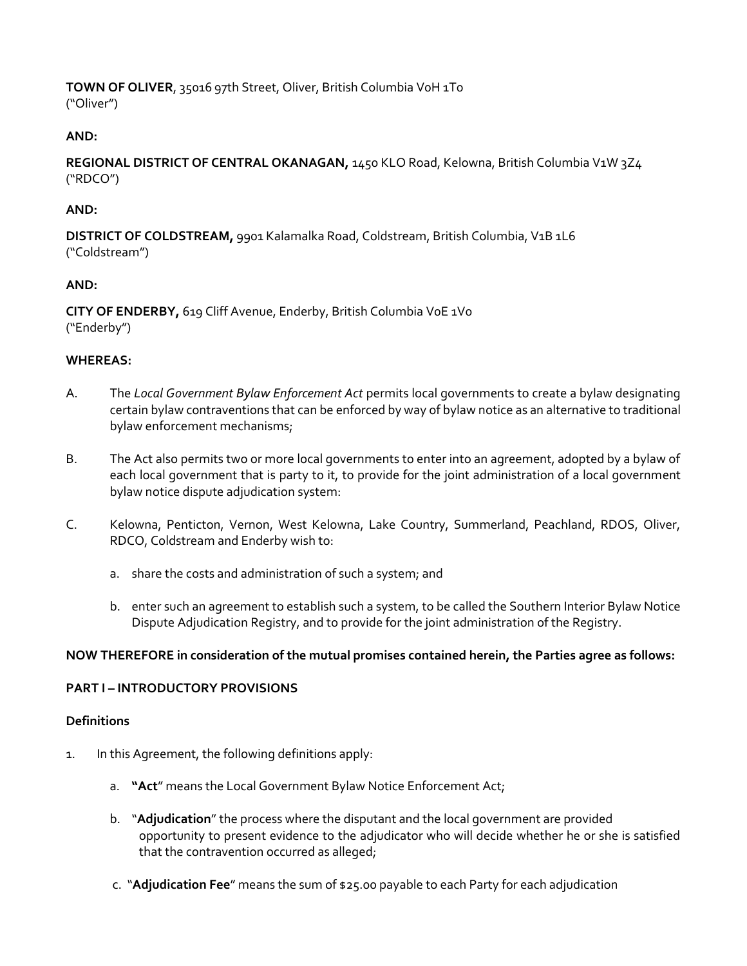**TOWN OF OLIVER**, 35016 97th Street, Oliver, British Columbia V0H 1T0 ("Oliver")

## **AND:**

**REGIONAL DISTRICT OF CENTRAL OKANAGAN,** 1450 KLO Road, Kelowna, British Columbia V1W 3Z4 ("RDCO")

## **AND:**

**DISTRICT OF COLDSTREAM,** 9901 Kalamalka Road, Coldstream, British Columbia, V1B 1L6 ("Coldstream")

## **AND:**

**CITY OF ENDERBY,** 619 Cliff Avenue, Enderby, British Columbia V0E 1V0 ("Enderby")

## **WHEREAS:**

- A. The *Local Government Bylaw Enforcement Act* permits local governments to create a bylaw designating certain bylaw contraventions that can be enforced by way of bylaw notice as an alternative to traditional bylaw enforcement mechanisms;
- B. The Act also permits two or more local governments to enter into an agreement, adopted by a bylaw of each local government that is party to it, to provide for the joint administration of a local government bylaw notice dispute adjudication system:
- C. Kelowna, Penticton, Vernon, West Kelowna, Lake Country, Summerland, Peachland, RDOS, Oliver, RDCO, Coldstream and Enderby wish to:
	- a. share the costs and administration of such a system; and
	- b. enter such an agreement to establish such a system, to be called the Southern Interior Bylaw Notice Dispute Adjudication Registry, and to provide for the joint administration of the Registry.

## **NOW THEREFORE in consideration of the mutual promises contained herein, the Parties agree as follows:**

## **PART I – INTRODUCTORY PROVISIONS**

#### **Definitions**

- 1. In this Agreement, the following definitions apply:
	- a. **"Act**" means the Local Government Bylaw Notice Enforcement Act;
	- b. "**Adjudication**" the process where the disputant and the local government are provided opportunity to present evidence to the adjudicator who will decide whether he or she is satisfied that the contravention occurred as alleged;
	- c. "**Adjudication Fee**" means the sum of \$25.00 payable to each Party for each adjudication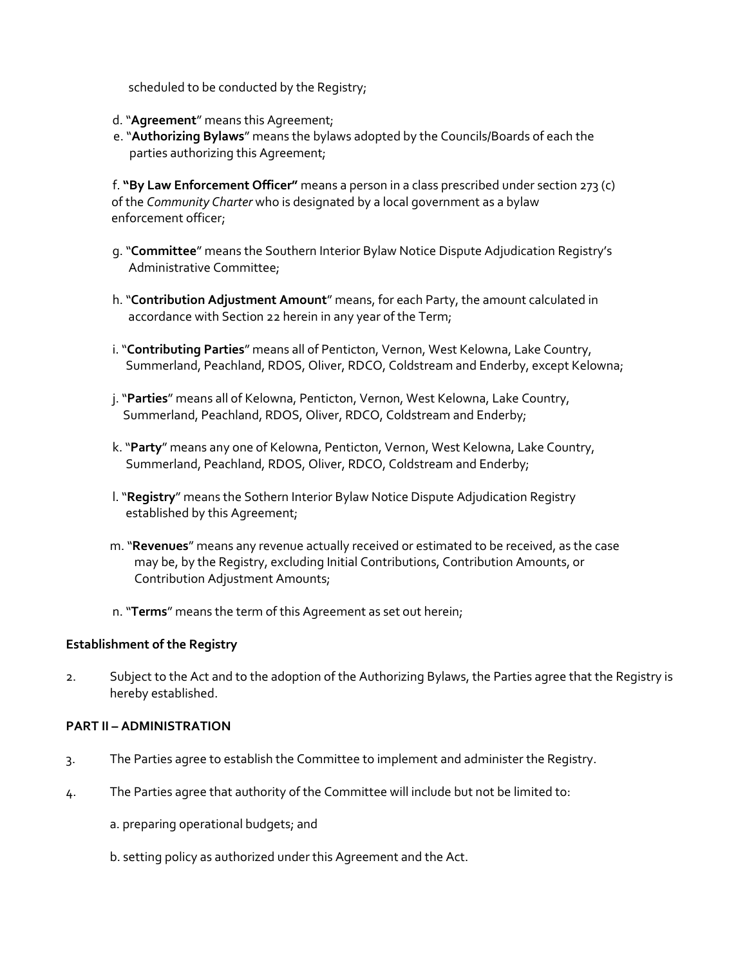scheduled to be conducted by the Registry;

- d. "**Agreement**" means this Agreement;
- e. "**Authorizing Bylaws**" means the bylaws adopted by the Councils/Boards of each the parties authorizing this Agreement;

f. **"By Law Enforcement Officer"** means a person in a class prescribed under section 273 (c) of the *Community Charter* who is designated by a local government as a bylaw enforcement officer;

- g. "**Committee**" means the Southern Interior Bylaw Notice Dispute Adjudication Registry's Administrative Committee;
- h. "**Contribution Adjustment Amount**" means, for each Party, the amount calculated in accordance with Section 22 herein in any year of the Term;
- i. "**Contributing Parties**" means all of Penticton, Vernon, West Kelowna, Lake Country, Summerland, Peachland, RDOS, Oliver, RDCO, Coldstream and Enderby, except Kelowna;
- j. "**Parties**" means all of Kelowna, Penticton, Vernon, West Kelowna, Lake Country, Summerland, Peachland, RDOS, Oliver, RDCO, Coldstream and Enderby;
- k. "**Party**" means any one of Kelowna, Penticton, Vernon, West Kelowna, Lake Country, Summerland, Peachland, RDOS, Oliver, RDCO, Coldstream and Enderby;
- l. "**Registry**" means the Sothern Interior Bylaw Notice Dispute Adjudication Registry established by this Agreement;
- m. "**Revenues**" means any revenue actually received or estimated to be received, as the case may be, by the Registry, excluding Initial Contributions, Contribution Amounts, or Contribution Adjustment Amounts;
- n. "**Terms**" means the term of this Agreement as set out herein;

#### **Establishment of the Registry**

2. Subject to the Act and to the adoption of the Authorizing Bylaws, the Parties agree that the Registry is hereby established.

#### **PART II – ADMINISTRATION**

- 3. The Parties agree to establish the Committee to implement and administer the Registry.
- 4. The Parties agree that authority of the Committee will include but not be limited to:
	- a. preparing operational budgets; and
	- b. setting policy as authorized under this Agreement and the Act.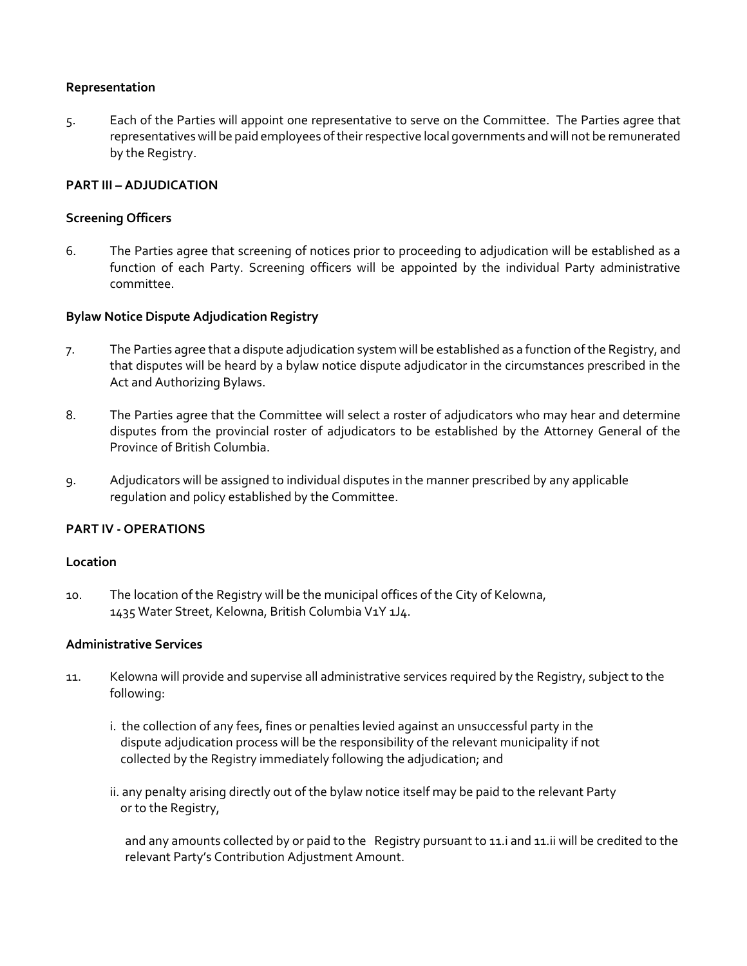#### **Representation**

5. Each of the Parties will appoint one representative to serve on the Committee. The Parties agree that representatives will be paid employees of their respective local governments and will not be remunerated by the Registry.

#### **PART III – ADJUDICATION**

## **Screening Officers**

6. The Parties agree that screening of notices prior to proceeding to adjudication will be established as a function of each Party. Screening officers will be appointed by the individual Party administrative committee.

### **Bylaw Notice Dispute Adjudication Registry**

- 7. The Parties agree that a dispute adjudication system will be established as a function of the Registry, and that disputes will be heard by a bylaw notice dispute adjudicator in the circumstances prescribed in the Act and Authorizing Bylaws.
- 8. The Parties agree that the Committee will select a roster of adjudicators who may hear and determine disputes from the provincial roster of adjudicators to be established by the Attorney General of the Province of British Columbia.
- 9. Adjudicators will be assigned to individual disputes in the manner prescribed by any applicable regulation and policy established by the Committee.

## **PART IV ‐ OPERATIONS**

#### **Location**

10. The location of the Registry will be the municipal offices of the City of Kelowna, 1435 Water Street, Kelowna, British Columbia V1Y 1J4.

## **Administrative Services**

- 11. Kelowna will provide and supervise all administrative services required by the Registry, subject to the following:
	- i. the collection of any fees, fines or penalties levied against an unsuccessful party in the dispute adjudication process will be the responsibility of the relevant municipality if not collected by the Registry immediately following the adjudication; and
	- ii. any penalty arising directly out of the bylaw notice itself may be paid to the relevant Party or to the Registry,

and any amounts collected by or paid to the Registry pursuant to 11.i and 11.ii will be credited to the relevant Party's Contribution Adjustment Amount.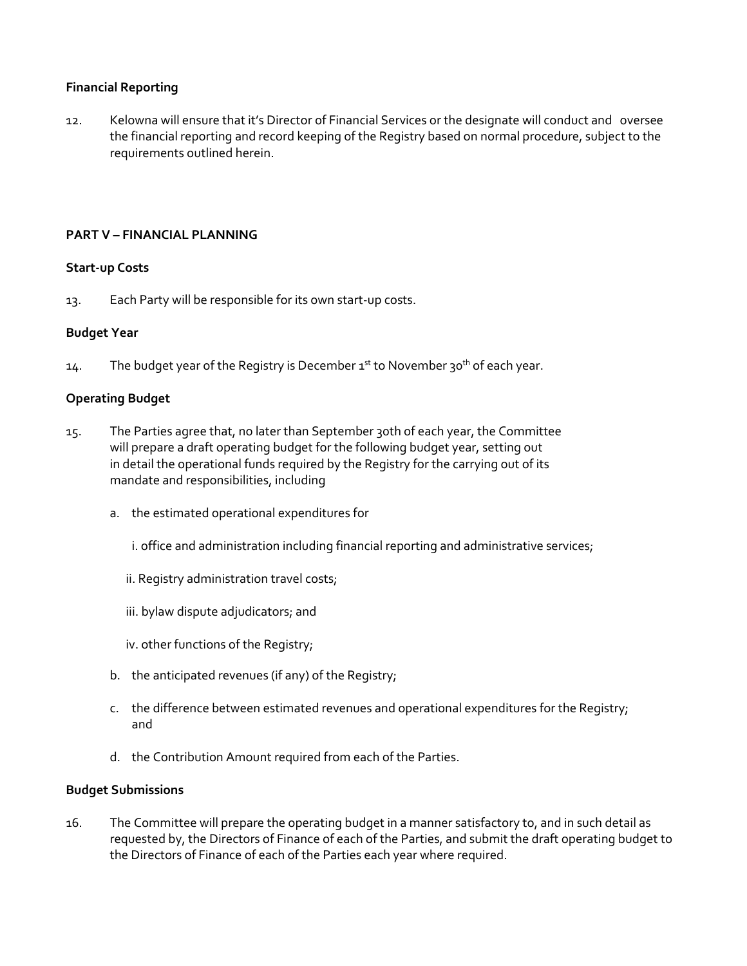## **Financial Reporting**

12. Kelowna will ensure that it's Director of Financial Services or the designate will conduct and oversee the financial reporting and record keeping of the Registry based on normal procedure, subject to the requirements outlined herein.

#### **PART V – FINANCIAL PLANNING**

#### **Start‐up Costs**

13. Each Party will be responsible for its own start‐up costs.

#### **Budget Year**

14. The budget year of the Registry is December  $1^{st}$  to November 30<sup>th</sup> of each year.

#### **Operating Budget**

- 15. The Parties agree that, no later than September 30th of each year, the Committee will prepare a draft operating budget for the following budget year, setting out in detail the operational funds required by the Registry for the carrying out of its mandate and responsibilities, including
	- a. the estimated operational expenditures for
		- i. office and administration including financial reporting and administrative services;
		- ii. Registry administration travel costs;
		- iii. bylaw dispute adjudicators; and
		- iv. other functions of the Registry;
	- b. the anticipated revenues (if any) of the Registry;
	- c. the difference between estimated revenues and operational expenditures for the Registry; and
	- d. the Contribution Amount required from each of the Parties.

#### **Budget Submissions**

16. The Committee will prepare the operating budget in a manner satisfactory to, and in such detail as requested by, the Directors of Finance of each of the Parties, and submit the draft operating budget to the Directors of Finance of each of the Parties each year where required.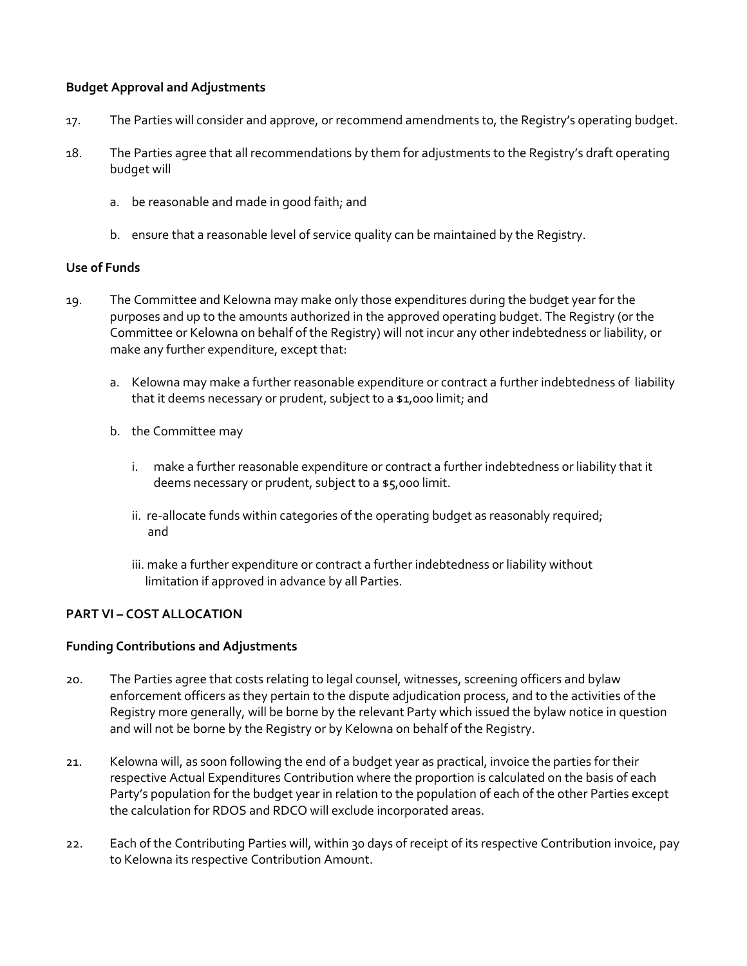## **Budget Approval and Adjustments**

- 17. The Parties will consider and approve, or recommend amendments to, the Registry's operating budget.
- 18. The Parties agree that all recommendations by them for adjustments to the Registry's draft operating budget will
	- a. be reasonable and made in good faith; and
	- b. ensure that a reasonable level of service quality can be maintained by the Registry.

#### **Use of Funds**

- 19. The Committee and Kelowna may make only those expenditures during the budget year for the purposes and up to the amounts authorized in the approved operating budget. The Registry (or the Committee or Kelowna on behalf of the Registry) will not incur any other indebtedness or liability, or make any further expenditure, except that:
	- a. Kelowna may make a further reasonable expenditure or contract a further indebtedness of liability that it deems necessary or prudent, subject to a \$1,000 limit; and
	- b. the Committee may
		- i. make a further reasonable expenditure or contract a further indebtedness or liability that it deems necessary or prudent, subject to a \$5,000 limit.
		- ii. re-allocate funds within categories of the operating budget as reasonably required; and
		- iii. make a further expenditure or contract a further indebtedness or liability without limitation if approved in advance by all Parties.

## **PART VI – COST ALLOCATION**

#### **Funding Contributions and Adjustments**

- 20. The Parties agree that costs relating to legal counsel, witnesses, screening officers and bylaw enforcement officers as they pertain to the dispute adjudication process, and to the activities of the Registry more generally, will be borne by the relevant Party which issued the bylaw notice in question and will not be borne by the Registry or by Kelowna on behalf of the Registry.
- 21. Kelowna will, as soon following the end of a budget year as practical, invoice the parties for their respective Actual Expenditures Contribution where the proportion is calculated on the basis of each Party's population for the budget year in relation to the population of each of the other Parties except the calculation for RDOS and RDCO will exclude incorporated areas.
- 22. Each of the Contributing Parties will, within 30 days of receipt of its respective Contribution invoice, pay to Kelowna its respective Contribution Amount.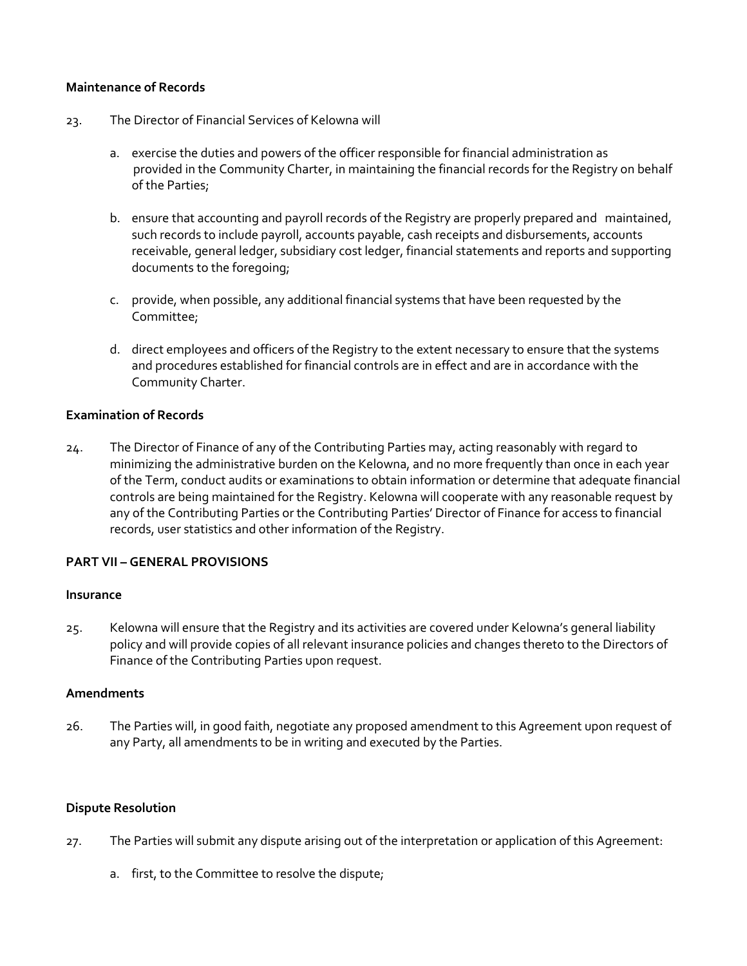#### **Maintenance of Records**

- 23. The Director of Financial Services of Kelowna will
	- a. exercise the duties and powers of the officer responsible for financial administration as provided in the Community Charter, in maintaining the financial records for the Registry on behalf of the Parties;
	- b. ensure that accounting and payroll records of the Registry are properly prepared and maintained, such records to include payroll, accounts payable, cash receipts and disbursements, accounts receivable, general ledger, subsidiary cost ledger, financial statements and reports and supporting documents to the foregoing;
	- c. provide, when possible, any additional financial systems that have been requested by the Committee;
	- d. direct employees and officers of the Registry to the extent necessary to ensure that the systems and procedures established for financial controls are in effect and are in accordance with the Community Charter.

### **Examination of Records**

24. The Director of Finance of any of the Contributing Parties may, acting reasonably with regard to minimizing the administrative burden on the Kelowna, and no more frequently than once in each year of the Term, conduct audits or examinations to obtain information or determine that adequate financial controls are being maintained for the Registry. Kelowna will cooperate with any reasonable request by any of the Contributing Parties or the Contributing Parties' Director of Finance for access to financial records, user statistics and other information of the Registry.

#### **PART VII – GENERAL PROVISIONS**

#### **Insurance**

25. Kelowna will ensure that the Registry and its activities are covered under Kelowna's general liability policy and will provide copies of all relevant insurance policies and changes thereto to the Directors of Finance of the Contributing Parties upon request.

#### **Amendments**

26. The Parties will, in good faith, negotiate any proposed amendment to this Agreement upon request of any Party, all amendments to be in writing and executed by the Parties.

#### **Dispute Resolution**

- 27. The Parties will submit any dispute arising out of the interpretation or application of this Agreement:
	- a. first, to the Committee to resolve the dispute;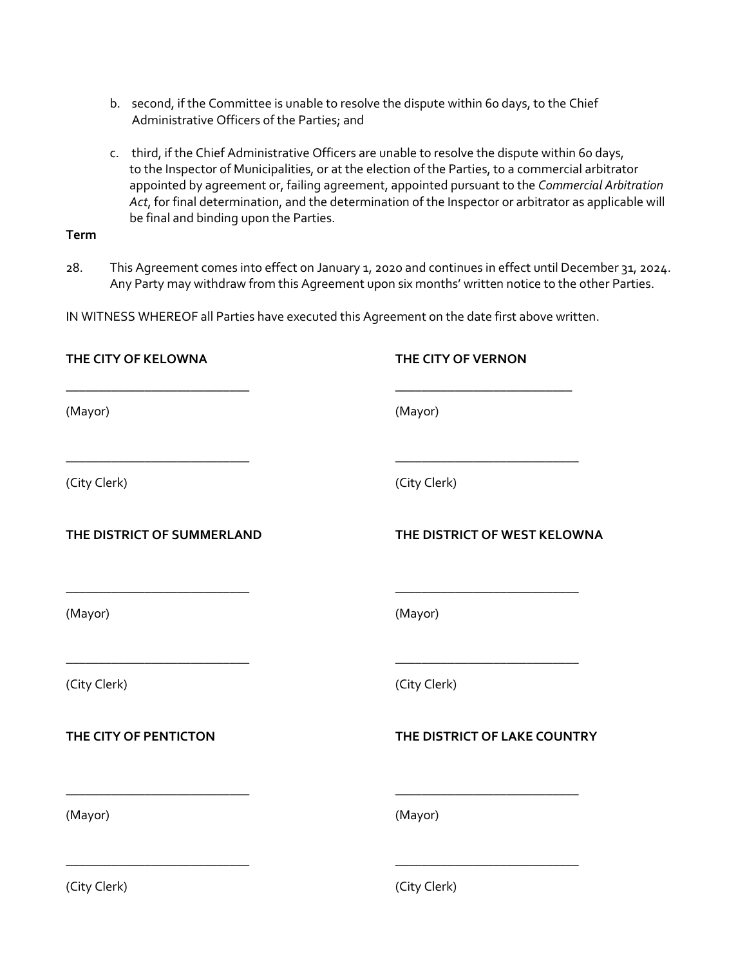- b. second, if the Committee is unable to resolve the dispute within 60 days, to the Chief Administrative Officers of the Parties; and
- c. third, if the Chief Administrative Officers are unable to resolve the dispute within 60 days, to the Inspector of Municipalities, or at the election of the Parties, to a commercial arbitrator appointed by agreement or, failing agreement, appointed pursuant to the *Commercial Arbitration Act*, for final determination, and the determination of the Inspector or arbitrator as applicable will be final and binding upon the Parties.

## **Term**

28. This Agreement comes into effect on January 1, 2020 and continues in effect until December 31, 2024. Any Party may withdraw from this Agreement upon six months' written notice to the other Parties.

IN WITNESS WHEREOF all Parties have executed this Agreement on the date first above written.

| THE CITY OF KELOWNA                                             | THE CITY OF VERNON           |
|-----------------------------------------------------------------|------------------------------|
| (Mayor)                                                         | (Mayor)                      |
| (City Clerk)                                                    | (City Clerk)                 |
| THE DISTRICT OF SUMMERLAND                                      | THE DISTRICT OF WEST KELOWNA |
| <u> 1940 - Johann John Stone, mars et al. (1940)</u><br>(Mayor) | (Mayor)                      |
| (City Clerk)                                                    | (City Clerk)                 |
| THE CITY OF PENTICTON                                           | THE DISTRICT OF LAKE COUNTRY |
| (Mayor)                                                         | (Mayor)                      |
| (City Clerk)                                                    | (City Clerk)                 |